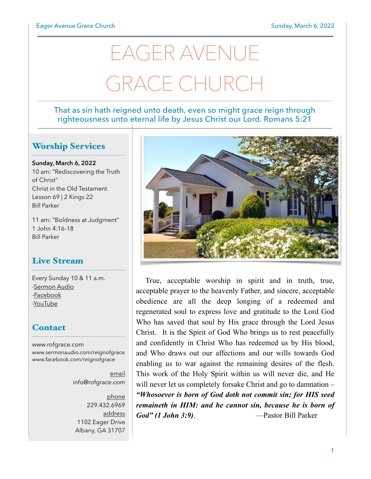# EAGER AVENUE GRACE CHURCH

#### That as sin hath reigned unto death, even so might grace reign through righteousness unto eternal life by Jesus Christ our Lord. Romans 5:21

#### Worship Services

**Sunday, March 6, 2022** 10 am: "Rediscovering the Truth of Christ" Christ in the Old Testament Lesson 69 | 2 Kings 22 Bill Parker

11 am: "Boldness at Judgment" 1 John 4:16-18 Bill Parker

#### Live Stream

Every Sunday 10 & 11 a.m.

[-Sermon Audio](http://sermonaudio.com/reignofgrace) [-Facebook](http://facebook.com/eageravechurch) [-YouTube](http://youtube.com/channel/UCu_lTHCIUOK0cka9AjFV_5Q/live)

#### **Contact**

[www.rofgrace.com](http://www.rofgrace.com) [www.sermonaudio.com/reignofgrace](http://www.sermonaudio.com/reignofgrace) [www.facebook.com/reignofgrace](http://www.facebook.com/reignofgrace)

> email [info@rofgrace.com](mailto:info@rofgrace.com?subject=)

phone 229.432.6969 address 1102 Eager Drive Albany, GA 31707



True, acceptable worship in spirit and in truth, true, acceptable prayer to the heavenly Father, and sincere, acceptable obedience are all the deep longing of a redeemed and regenerated soul to express love and gratitude to the Lord God Who has saved that soul by His grace through the Lord Jesus Christ. It is the Spirit of God Who brings us to rest peacefully and confidently in Christ Who has redeemed us by His blood, and Who draws out our affections and our wills towards God enabling us to war against the remaining desires of the flesh. This work of the Holy Spirit within us will never die, and He will never let us completely forsake Christ and go to damnation – *"Whosoever is born of God doth not commit sin; for HIS seed remaineth in HIM: and he cannot sin, because he is born of God" (1 John 3:9)*. —Pastor Bill Parker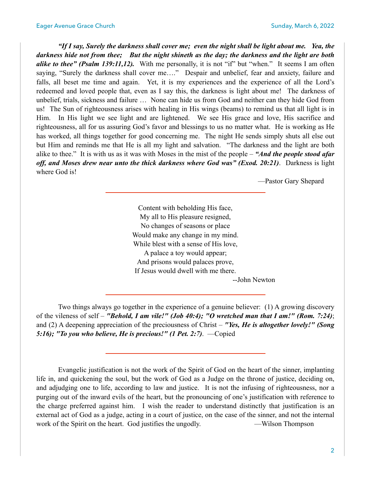*"If I say, Surely the darkness shall cover me; even the night shall be light about me. Yea, the darkness hide not from thee; But the night shineth as the day; the darkness and the light are both alike to thee" (Psalm 139:11,12).* With me personally, it is not "if" but "when." It seems I am often saying, "Surely the darkness shall cover me…." Despair and unbelief, fear and anxiety, failure and falls, all beset me time and again. Yet, it is my experiences and the experience of all the Lord's redeemed and loved people that, even as I say this, the darkness is light about me! The darkness of unbelief, trials, sickness and failure … None can hide us from God and neither can they hide God from us! The Sun of righteousness arises with healing in His wings (beams) to remind us that all light is in Him. In His light we see light and are lightened. We see His grace and love, His sacrifice and righteousness, all for us assuring God's favor and blessings to us no matter what. He is working as He has worked, all things together for good concerning me. The night He sends simply shuts all else out but Him and reminds me that He is all my light and salvation. "The darkness and the light are both alike to thee." It is with us as it was with Moses in the mist of the people – *"And the people stood afar off, and Moses drew near unto the thick darkness where God was" (Exod. 20:21)*. Darkness is light where God is!

—Pastor Gary Shepard

Content with beholding His face, My all to His pleasure resigned, No changes of seasons or place Would make any change in my mind. While blest with a sense of His love, A palace a toy would appear; And prisons would palaces prove, If Jesus would dwell with me there.

--John Newton

 Two things always go together in the experience of a genuine believer: (1) A growing discovery of the vileness of self – *"Behold, I am vile!" (Job 40:4); "O wretched man that I am!" (Rom. 7:24)*; and (2) A deepening appreciation of the preciousness of Christ – *"Yes, He is altogether lovely!" (Song 5:16); "To you who believe, He is precious!" (1 Pet. 2:7)*. —Copied

 Evangelic justification is not the work of the Spirit of God on the heart of the sinner, implanting life in, and quickening the soul, but the work of God as a Judge on the throne of justice, deciding on, and adjudging one to life, according to law and justice. It is not the infusing of righteousness, nor a purging out of the inward evils of the heart, but the pronouncing of one's justification with reference to the charge preferred against him. I wish the reader to understand distinctly that justification is an external act of God as a judge, acting in a court of justice, on the case of the sinner, and not the internal work of the Spirit on the heart. God justifies the ungodly. — Wilson Thompson